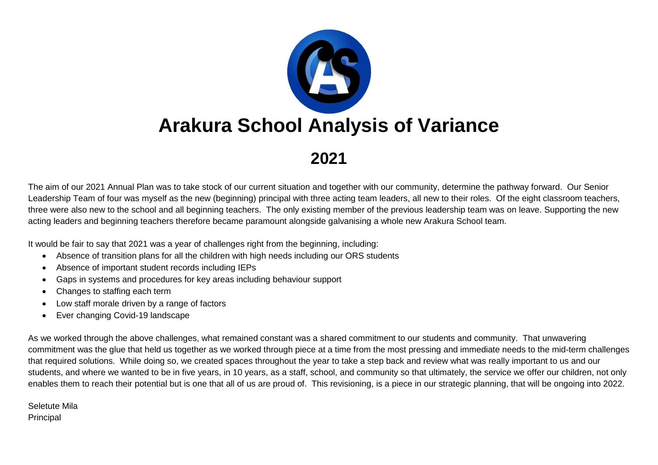

**2021**

The aim of our 2021 Annual Plan was to take stock of our current situation and together with our community, determine the pathway forward. Our Senior Leadership Team of four was myself as the new (beginning) principal with three acting team leaders, all new to their roles. Of the eight classroom teachers, three were also new to the school and all beginning teachers. The only existing member of the previous leadership team was on leave. Supporting the new acting leaders and beginning teachers therefore became paramount alongside galvanising a whole new Arakura School team.

It would be fair to say that 2021 was a year of challenges right from the beginning, including:

- Absence of transition plans for all the children with high needs including our ORS students
- Absence of important student records including IEPs
- Gaps in systems and procedures for key areas including behaviour support
- Changes to staffing each term
- Low staff morale driven by a range of factors
- Ever changing Covid-19 landscape

As we worked through the above challenges, what remained constant was a shared commitment to our students and community. That unwavering commitment was the glue that held us together as we worked through piece at a time from the most pressing and immediate needs to the mid-term challenges that required solutions. While doing so, we created spaces throughout the year to take a step back and review what was really important to us and our students, and where we wanted to be in five years, in 10 years, as a staff, school, and community so that ultimately, the service we offer our children, not only enables them to reach their potential but is one that all of us are proud of. This revisioning, is a piece in our strategic planning, that will be ongoing into 2022.

Seletute Mila Principal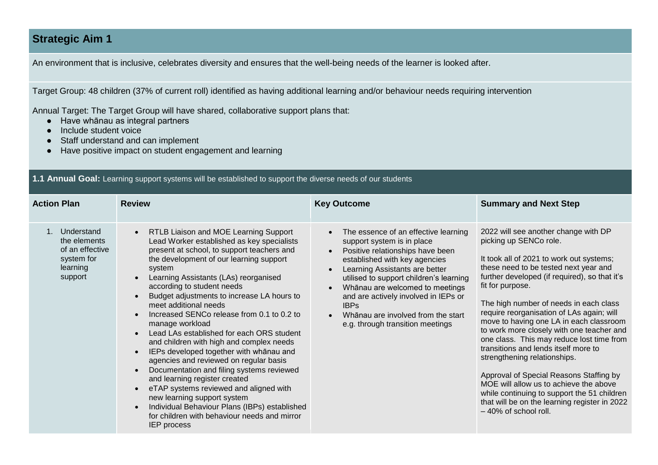### **Strategic Aim 1**

An environment that is inclusive, celebrates diversity and ensures that the well-being needs of the learner is looked after.

Target Group: 48 children (37% of current roll) identified as having additional learning and/or behaviour needs requiring intervention

Annual Target: The Target Group will have shared, collaborative support plans that:

- Have whānau as integral partners
- Include student voice
- Staff understand and can implement
- Have positive impact on student engagement and learning

#### **1.1 Annual Goal:** Learning support systems will be established to support the diverse needs of our students

| <b>Action Plan</b>                                                                 | <b>Review</b>                                                                                                                                                                                                                                                                                                                                                                                                                                                                                                                                                                                                                                                                                                                                                                                                                                                                  | <b>Key Outcome</b>                                                                                                                                                                                                                                                                                                                                                                       | <b>Summary and Next Step</b>                                                                                                                                                                                                                                                                                                                                                                                                                                                                                                                                                                                                                                                                                                              |
|------------------------------------------------------------------------------------|--------------------------------------------------------------------------------------------------------------------------------------------------------------------------------------------------------------------------------------------------------------------------------------------------------------------------------------------------------------------------------------------------------------------------------------------------------------------------------------------------------------------------------------------------------------------------------------------------------------------------------------------------------------------------------------------------------------------------------------------------------------------------------------------------------------------------------------------------------------------------------|------------------------------------------------------------------------------------------------------------------------------------------------------------------------------------------------------------------------------------------------------------------------------------------------------------------------------------------------------------------------------------------|-------------------------------------------------------------------------------------------------------------------------------------------------------------------------------------------------------------------------------------------------------------------------------------------------------------------------------------------------------------------------------------------------------------------------------------------------------------------------------------------------------------------------------------------------------------------------------------------------------------------------------------------------------------------------------------------------------------------------------------------|
| Understand<br>the elements<br>of an effective<br>system for<br>learning<br>support | RTLB Liaison and MOE Learning Support<br>$\bullet$<br>Lead Worker established as key specialists<br>present at school, to support teachers and<br>the development of our learning support<br>system<br>Learning Assistants (LAs) reorganised<br>according to student needs<br>Budget adjustments to increase LA hours to<br>meet additional needs<br>Increased SENCo release from 0.1 to 0.2 to<br>manage workload<br>Lead LAs established for each ORS student<br>and children with high and complex needs<br>IEPs developed together with whānau and<br>agencies and reviewed on regular basis<br>Documentation and filing systems reviewed<br>and learning register created<br>eTAP systems reviewed and aligned with<br>new learning support system<br>Individual Behaviour Plans (IBPs) established<br>for children with behaviour needs and mirror<br><b>IEP</b> process | The essence of an effective learning<br>support system is in place<br>Positive relationships have been<br>established with key agencies<br>Learning Assistants are better<br>utilised to support children's learning<br>Whānau are welcomed to meetings<br>and are actively involved in IEPs or<br><b>IBPs</b><br>Whānau are involved from the start<br>e.g. through transition meetings | 2022 will see another change with DP<br>picking up SENCo role.<br>It took all of 2021 to work out systems;<br>these need to be tested next year and<br>further developed (if required), so that it's<br>fit for purpose.<br>The high number of needs in each class<br>require reorganisation of LAs again; will<br>move to having one LA in each classroom<br>to work more closely with one teacher and<br>one class. This may reduce lost time from<br>transitions and lends itself more to<br>strengthening relationships.<br>Approval of Special Reasons Staffing by<br>MOE will allow us to achieve the above<br>while continuing to support the 51 children<br>that will be on the learning register in 2022<br>-40% of school roll. |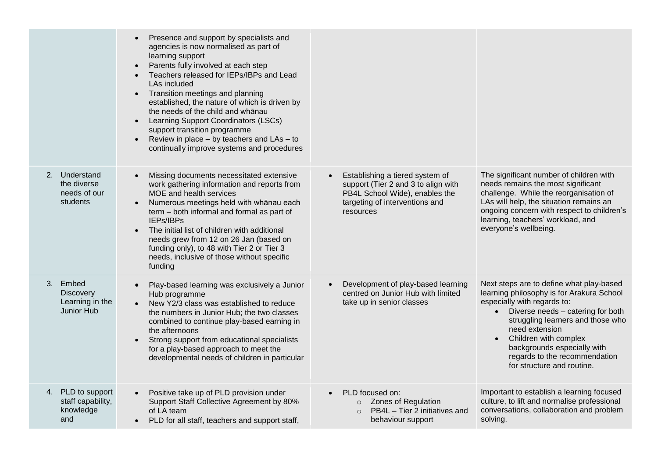|                                                                      | Presence and support by specialists and<br>agencies is now normalised as part of<br>learning support<br>Parents fully involved at each step<br>$\bullet$<br>Teachers released for IEPs/IBPs and Lead<br>$\bullet$<br>LAs included<br>Transition meetings and planning<br>$\bullet$<br>established, the nature of which is driven by<br>the needs of the child and whanau<br>Learning Support Coordinators (LSCs)<br>$\bullet$<br>support transition programme<br>Review in place – by teachers and LAs – to<br>$\bullet$<br>continually improve systems and procedures |                                                                                                                                                                      |                                                                                                                                                                                                                                                                                                                                                      |
|----------------------------------------------------------------------|------------------------------------------------------------------------------------------------------------------------------------------------------------------------------------------------------------------------------------------------------------------------------------------------------------------------------------------------------------------------------------------------------------------------------------------------------------------------------------------------------------------------------------------------------------------------|----------------------------------------------------------------------------------------------------------------------------------------------------------------------|------------------------------------------------------------------------------------------------------------------------------------------------------------------------------------------------------------------------------------------------------------------------------------------------------------------------------------------------------|
| 2. Understand<br>the diverse<br>needs of our<br>students             | Missing documents necessitated extensive<br>$\bullet$<br>work gathering information and reports from<br>MOE and health services<br>Numerous meetings held with whānau each<br>term - both informal and formal as part of<br>IEPs/IBPs<br>The initial list of children with additional<br>needs grew from 12 on 26 Jan (based on<br>funding only), to 48 with Tier 2 or Tier 3<br>needs, inclusive of those without specific<br>funding                                                                                                                                 | Establishing a tiered system of<br>$\bullet$<br>support (Tier 2 and 3 to align with<br>PB4L School Wide), enables the<br>targeting of interventions and<br>resources | The significant number of children with<br>needs remains the most significant<br>challenge. While the reorganisation of<br>LAs will help, the situation remains an<br>ongoing concern with respect to children's<br>learning, teachers' workload, and<br>everyone's wellbeing.                                                                       |
| 3. Embed<br><b>Discovery</b><br>Learning in the<br><b>Junior Hub</b> | Play-based learning was exclusively a Junior<br>Hub programme<br>New Y2/3 class was established to reduce<br>the numbers in Junior Hub; the two classes<br>combined to continue play-based earning in<br>the afternoons<br>Strong support from educational specialists<br>$\bullet$<br>for a play-based approach to meet the<br>developmental needs of children in particular                                                                                                                                                                                          | Development of play-based learning<br>$\bullet$<br>centred on Junior Hub with limited<br>take up in senior classes                                                   | Next steps are to define what play-based<br>learning philosophy is for Arakura School<br>especially with regards to:<br>Diverse needs - catering for both<br>$\bullet$<br>struggling learners and those who<br>need extension<br>Children with complex<br>backgrounds especially with<br>regards to the recommendation<br>for structure and routine. |
| 4. PLD to support<br>staff capability,<br>knowledge<br>and           | Positive take up of PLD provision under<br>Support Staff Collective Agreement by 80%<br>of LA team<br>PLD for all staff, teachers and support staff,                                                                                                                                                                                                                                                                                                                                                                                                                   | PLD focused on:<br>$\bullet$<br><b>Zones of Regulation</b><br>$\circ$<br>PB4L - Tier 2 initiatives and<br>$\circ$<br>behaviour support                               | Important to establish a learning focused<br>culture, to lift and normalise professional<br>conversations, collaboration and problem<br>solving.                                                                                                                                                                                                     |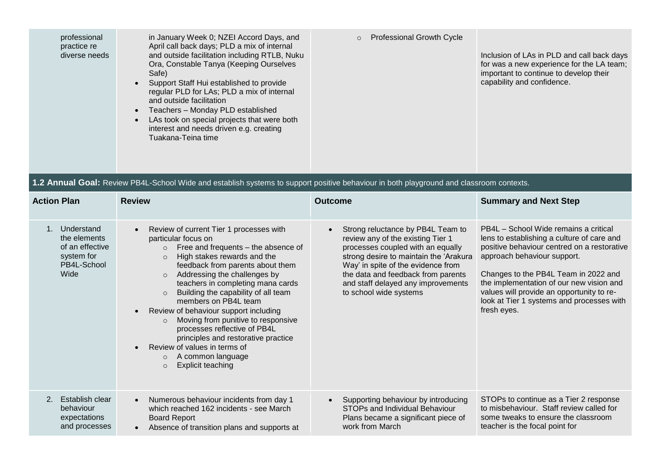| professional<br>practice re<br>diverse needs                                                      | in January Week 0; NZEI Accord Days, and<br>April call back days; PLD a mix of internal<br>and outside facilitation including RTLB, Nuku<br>Ora, Constable Tanya (Keeping Ourselves<br>Safe)<br>Support Staff Hui established to provide<br>$\bullet$<br>regular PLD for LAs; PLD a mix of internal<br>and outside facilitation<br>Teachers - Monday PLD established<br>LAs took on special projects that were both<br>interest and needs driven e.g. creating<br>Tuakana-Teina time                                                                                                                                      | <b>Professional Growth Cycle</b><br>$\circ$                                                                                                                                                                                                                                                       | Inclusion of LAs in PLD and call back days<br>for was a new experience for the LA team;<br>important to continue to develop their<br>capability and confidence.                                                                                                                                                                                                |
|---------------------------------------------------------------------------------------------------|---------------------------------------------------------------------------------------------------------------------------------------------------------------------------------------------------------------------------------------------------------------------------------------------------------------------------------------------------------------------------------------------------------------------------------------------------------------------------------------------------------------------------------------------------------------------------------------------------------------------------|---------------------------------------------------------------------------------------------------------------------------------------------------------------------------------------------------------------------------------------------------------------------------------------------------|----------------------------------------------------------------------------------------------------------------------------------------------------------------------------------------------------------------------------------------------------------------------------------------------------------------------------------------------------------------|
|                                                                                                   | 1.2 Annual Goal: Review PB4L-School Wide and establish systems to support positive behaviour in both playground and classroom contexts.                                                                                                                                                                                                                                                                                                                                                                                                                                                                                   |                                                                                                                                                                                                                                                                                                   |                                                                                                                                                                                                                                                                                                                                                                |
| <b>Action Plan</b>                                                                                | <b>Review</b>                                                                                                                                                                                                                                                                                                                                                                                                                                                                                                                                                                                                             | <b>Outcome</b>                                                                                                                                                                                                                                                                                    | <b>Summary and Next Step</b>                                                                                                                                                                                                                                                                                                                                   |
| Understand<br>$1_{\cdot}$<br>the elements<br>of an effective<br>system for<br>PB4L-School<br>Wide | Review of current Tier 1 processes with<br>particular focus on<br>Free and frequents - the absence of<br>$\circ$<br>High stakes rewards and the<br>$\circ$<br>feedback from parents about them<br>Addressing the challenges by<br>$\circ$<br>teachers in completing mana cards<br>Building the capability of all team<br>$\circ$<br>members on PB4L team<br>Review of behaviour support including<br>Moving from punitive to responsive<br>$\circ$<br>processes reflective of PB4L<br>principles and restorative practice<br>Review of values in terms of<br>A common language<br>$\circ$<br>Explicit teaching<br>$\circ$ | Strong reluctance by PB4L Team to<br>review any of the existing Tier 1<br>processes coupled with an equally<br>strong desire to maintain the 'Arakura<br>Way' in spite of the evidence from<br>the data and feedback from parents<br>and staff delayed any improvements<br>to school wide systems | PB4L - School Wide remains a critical<br>lens to establishing a culture of care and<br>positive behaviour centred on a restorative<br>approach behaviour support.<br>Changes to the PB4L Team in 2022 and<br>the implementation of our new vision and<br>values will provide an opportunity to re-<br>look at Tier 1 systems and processes with<br>fresh eyes. |
| Establish clear<br>2.<br>behaviour<br>expectations<br>and processes                               | Numerous behaviour incidents from day 1<br>which reached 162 incidents - see March<br><b>Board Report</b><br>Absence of transition plans and supports at                                                                                                                                                                                                                                                                                                                                                                                                                                                                  | Supporting behaviour by introducing<br>STOPs and Individual Behaviour<br>Plans became a significant piece of<br>work from March                                                                                                                                                                   | STOPs to continue as a Tier 2 response<br>to misbehaviour. Staff review called for<br>some tweaks to ensure the classroom<br>teacher is the focal point for                                                                                                                                                                                                    |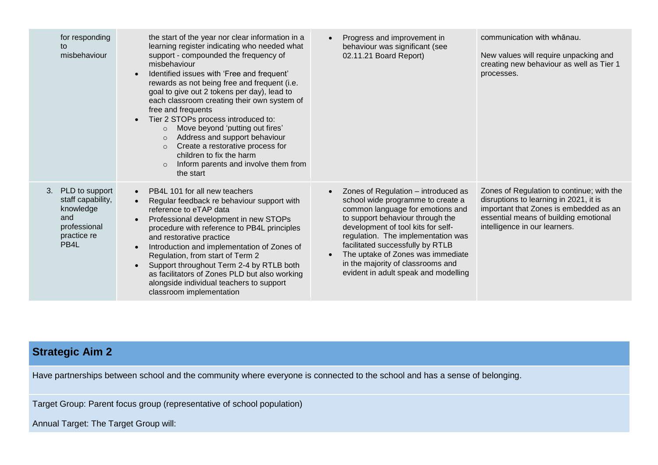| for responding<br>to<br>misbehaviour                                                                              | the start of the year nor clear information in a<br>learning register indicating who needed what<br>support - compounded the frequency of<br>misbehaviour<br>Identified issues with 'Free and frequent'<br>rewards as not being free and frequent (i.e.<br>goal to give out 2 tokens per day), lead to<br>each classroom creating their own system of<br>free and frequents<br>Tier 2 STOPs process introduced to:<br>Move beyond 'putting out fires'<br>$\circ$<br>Address and support behaviour<br>$\circ$<br>Create a restorative process for<br>$\circ$<br>children to fix the harm<br>Inform parents and involve them from<br>$\circ$<br>the start | Progress and improvement in<br>$\bullet$<br>behaviour was significant (see<br>02.11.21 Board Report)                                                                                                                                                                                                                                                                                                         | communication with whanau.<br>New values will require unpacking and<br>creating new behaviour as well as Tier 1<br>processes.                                                                           |
|-------------------------------------------------------------------------------------------------------------------|---------------------------------------------------------------------------------------------------------------------------------------------------------------------------------------------------------------------------------------------------------------------------------------------------------------------------------------------------------------------------------------------------------------------------------------------------------------------------------------------------------------------------------------------------------------------------------------------------------------------------------------------------------|--------------------------------------------------------------------------------------------------------------------------------------------------------------------------------------------------------------------------------------------------------------------------------------------------------------------------------------------------------------------------------------------------------------|---------------------------------------------------------------------------------------------------------------------------------------------------------------------------------------------------------|
| PLD to support<br>3.<br>staff capability,<br>knowledge<br>and<br>professional<br>practice re<br>PB <sub>4</sub> L | PB4L 101 for all new teachers<br>$\bullet$<br>Regular feedback re behaviour support with<br>reference to eTAP data<br>Professional development in new STOPs<br>procedure with reference to PB4L principles<br>and restorative practice<br>Introduction and implementation of Zones of<br>Regulation, from start of Term 2<br>Support throughout Term 2-4 by RTLB both<br>as facilitators of Zones PLD but also working<br>alongside individual teachers to support<br>classroom implementation                                                                                                                                                          | Zones of Regulation - introduced as<br>$\bullet$<br>school wide programme to create a<br>common language for emotions and<br>to support behaviour through the<br>development of tool kits for self-<br>regulation. The implementation was<br>facilitated successfully by RTLB<br>The uptake of Zones was immediate<br>$\bullet$<br>in the majority of classrooms and<br>evident in adult speak and modelling | Zones of Regulation to continue; with the<br>disruptions to learning in 2021, it is<br>important that Zones is embedded as an<br>essential means of building emotional<br>intelligence in our learners. |

# **Strategic Aim 2**

Have partnerships between school and the community where everyone is connected to the school and has a sense of belonging.

Target Group: Parent focus group (representative of school population)

Annual Target: The Target Group will: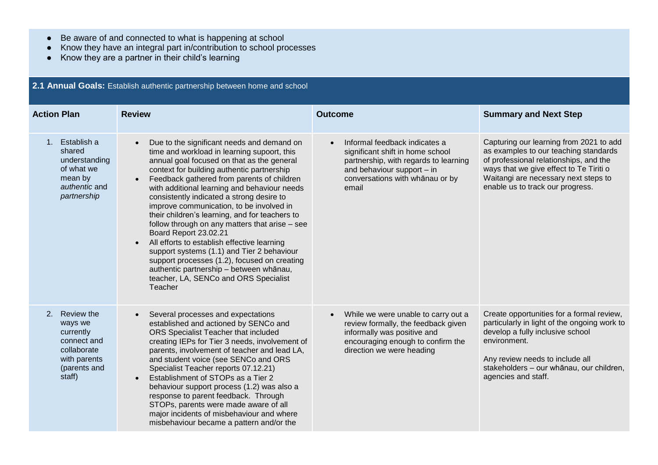● Be aware of and connected to what is happening at school

**2.1 Annual Goals:** Establish authentic partnership between home and school

- Know they have an integral part in/contribution to school processes
- Know they are a partner in their child's learning

| <b>Action Plan</b>                                                                                            | <b>Review</b>                                                                                                                                                                                                                                                                                                                                                                                                                                                                                                                                                                                                                                                                                                                                                                   | <b>Outcome</b>                                                                                                                                                                                    | <b>Summary and Next Step</b>                                                                                                                                                                                                                        |
|---------------------------------------------------------------------------------------------------------------|---------------------------------------------------------------------------------------------------------------------------------------------------------------------------------------------------------------------------------------------------------------------------------------------------------------------------------------------------------------------------------------------------------------------------------------------------------------------------------------------------------------------------------------------------------------------------------------------------------------------------------------------------------------------------------------------------------------------------------------------------------------------------------|---------------------------------------------------------------------------------------------------------------------------------------------------------------------------------------------------|-----------------------------------------------------------------------------------------------------------------------------------------------------------------------------------------------------------------------------------------------------|
| 1. Establish a<br>shared<br>understanding<br>of what we<br>mean by<br>authentic and<br>partnership            | Due to the significant needs and demand on<br>$\bullet$<br>time and workload in learning supoort, this<br>annual goal focused on that as the general<br>context for building authentic partnership<br>Feedback gathered from parents of children<br>$\bullet$<br>with additional learning and behaviour needs<br>consistently indicated a strong desire to<br>improve communication, to be involved in<br>their children's learning, and for teachers to<br>follow through on any matters that arise - see<br>Board Report 23.02.21<br>All efforts to establish effective learning<br>support systems (1.1) and Tier 2 behaviour<br>support processes (1.2), focused on creating<br>authentic partnership - between whānau,<br>teacher, LA, SENCo and ORS Specialist<br>Teacher | Informal feedback indicates a<br>$\bullet$<br>significant shift in home school<br>partnership, with regards to learning<br>and behaviour support - in<br>conversations with whānau or by<br>email | Capturing our learning from 2021 to add<br>as examples to our teaching standards<br>of professional relationships, and the<br>ways that we give effect to Te Tiriti o<br>Waitangi are necessary next steps to<br>enable us to track our progress.   |
| 2. Review the<br>ways we<br>currently<br>connect and<br>collaborate<br>with parents<br>(parents and<br>staff) | Several processes and expectations<br>$\bullet$<br>established and actioned by SENCo and<br>ORS Specialist Teacher that included<br>creating IEPs for Tier 3 needs, involvement of<br>parents, involvement of teacher and lead LA,<br>and student voice (see SENCo and ORS<br>Specialist Teacher reports 07.12.21)<br>Establishment of STOPs as a Tier 2<br>$\bullet$<br>behaviour support process (1.2) was also a<br>response to parent feedback. Through<br>STOPs, parents were made aware of all<br>major incidents of misbehaviour and where<br>misbehaviour became a pattern and/or the                                                                                                                                                                                   | While we were unable to carry out a<br>review formally, the feedback given<br>informally was positive and<br>encouraging enough to confirm the<br>direction we were heading                       | Create opportunities for a formal review,<br>particularly in light of the ongoing work to<br>develop a fully inclusive school<br>environment.<br>Any review needs to include all<br>stakeholders - our whānau, our children,<br>agencies and staff. |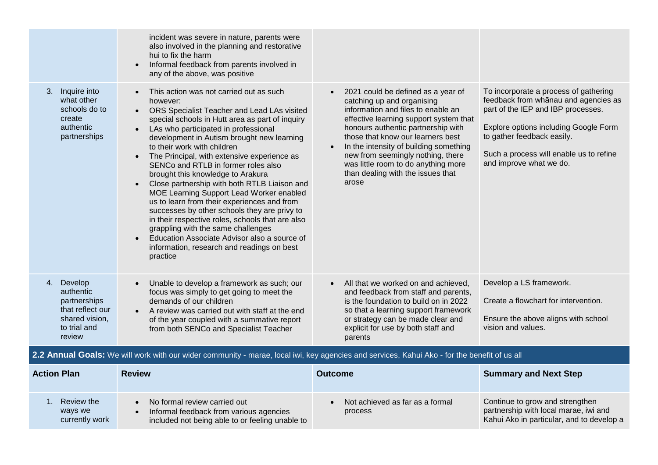|                                                                                                         | incident was severe in nature, parents were<br>also involved in the planning and restorative<br>hui to fix the harm<br>Informal feedback from parents involved in<br>any of the above, was positive                                                                                                                                                                                                                                                                                                                                                                                                                                                                                                                                                                                                                                         |                                                                                                                                                                                                                                                                                                                                                                                                              |                                                                                                                                                                                                                                                                  |
|---------------------------------------------------------------------------------------------------------|---------------------------------------------------------------------------------------------------------------------------------------------------------------------------------------------------------------------------------------------------------------------------------------------------------------------------------------------------------------------------------------------------------------------------------------------------------------------------------------------------------------------------------------------------------------------------------------------------------------------------------------------------------------------------------------------------------------------------------------------------------------------------------------------------------------------------------------------|--------------------------------------------------------------------------------------------------------------------------------------------------------------------------------------------------------------------------------------------------------------------------------------------------------------------------------------------------------------------------------------------------------------|------------------------------------------------------------------------------------------------------------------------------------------------------------------------------------------------------------------------------------------------------------------|
| Inquire into<br>3.<br>what other<br>schools do to<br>create<br>authentic<br>partnerships                | This action was not carried out as such<br>however:<br>ORS Specialist Teacher and Lead LAs visited<br>$\bullet$<br>special schools in Hutt area as part of inquiry<br>LAs who participated in professional<br>$\bullet$<br>development in Autism brought new learning<br>to their work with children<br>The Principal, with extensive experience as<br>$\bullet$<br>SENCo and RTLB in former roles also<br>brought this knowledge to Arakura<br>Close partnership with both RTLB Liaison and<br>MOE Learning Support Lead Worker enabled<br>us to learn from their experiences and from<br>successes by other schools they are privy to<br>in their respective roles, schools that are also<br>grappling with the same challenges<br>Education Associate Advisor also a source of<br>information, research and readings on best<br>practice | 2021 could be defined as a year of<br>$\bullet$<br>catching up and organising<br>information and files to enable an<br>effective learning support system that<br>honours authentic partnership with<br>those that know our learners best<br>In the intensity of building something<br>new from seemingly nothing, there<br>was little room to do anything more<br>than dealing with the issues that<br>arose | To incorporate a process of gathering<br>feedback from whānau and agencies as<br>part of the IEP and IBP processes.<br>Explore options including Google Form<br>to gather feedback easily.<br>Such a process will enable us to refine<br>and improve what we do. |
| 4. Develop<br>authentic<br>partnerships<br>that reflect our<br>shared vision,<br>to trial and<br>review | Unable to develop a framework as such; our<br>focus was simply to get going to meet the<br>demands of our children<br>A review was carried out with staff at the end<br>$\bullet$<br>of the year coupled with a summative report<br>from both SENCo and Specialist Teacher                                                                                                                                                                                                                                                                                                                                                                                                                                                                                                                                                                  | All that we worked on and achieved,<br>and feedback from staff and parents,<br>is the foundation to build on in 2022<br>so that a learning support framework<br>or strategy can be made clear and<br>explicit for use by both staff and<br>parents                                                                                                                                                           | Develop a LS framework.<br>Create a flowchart for intervention.<br>Ensure the above aligns with school<br>vision and values.                                                                                                                                     |

### **2.2 Annual Goals:** We will work with our wider community - marae, local iwi, key agencies and services, Kahui Ako - for the benefit of us all

| <b>Action Plan</b>                      | <b>Review</b>                                                                                                              | <b>Outcome</b>                             | <b>Summary and Next Step</b>                                                                                          |
|-----------------------------------------|----------------------------------------------------------------------------------------------------------------------------|--------------------------------------------|-----------------------------------------------------------------------------------------------------------------------|
| Review the<br>ways we<br>currently work | No formal review carried out<br>Informal feedback from various agencies<br>included not being able to or feeling unable to | Not achieved as far as a formal<br>process | Continue to grow and strengthen<br>partnership with local marae, iwi and<br>Kahui Ako in particular, and to develop a |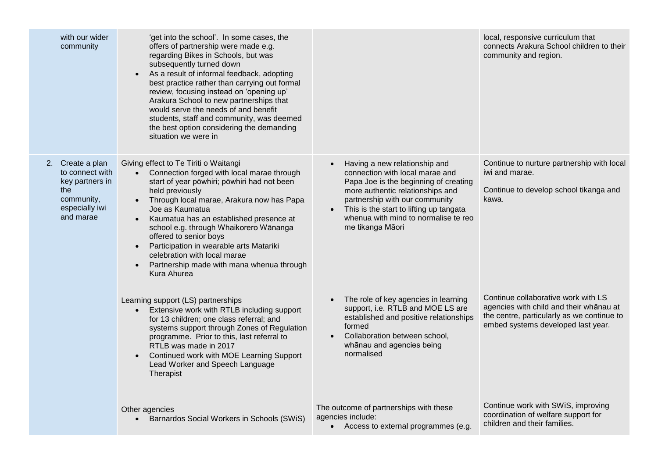| with our wider<br>community                                                                                | 'get into the school'. In some cases, the<br>offers of partnership were made e.g.<br>regarding Bikes in Schools, but was<br>subsequently turned down<br>As a result of informal feedback, adopting<br>$\bullet$<br>best practice rather than carrying out formal<br>review, focusing instead on 'opening up'<br>Arakura School to new partnerships that<br>would serve the needs of and benefit<br>students, staff and community, was deemed<br>the best option considering the demanding<br>situation we were in |                                                                                                                                                                                                                                                                                        | local, responsive curriculum that<br>connects Arakura School children to their<br>community and region.                                                            |
|------------------------------------------------------------------------------------------------------------|-------------------------------------------------------------------------------------------------------------------------------------------------------------------------------------------------------------------------------------------------------------------------------------------------------------------------------------------------------------------------------------------------------------------------------------------------------------------------------------------------------------------|----------------------------------------------------------------------------------------------------------------------------------------------------------------------------------------------------------------------------------------------------------------------------------------|--------------------------------------------------------------------------------------------------------------------------------------------------------------------|
| 2. Create a plan<br>to connect with<br>key partners in<br>the<br>community,<br>especially iwi<br>and marae | Giving effect to Te Tiriti o Waitangi<br>Connection forged with local marae through<br>start of year pōwhiri; pōwhiri had not been<br>held previously<br>Through local marae, Arakura now has Papa<br>Joe as Kaumatua<br>Kaumatua has an established presence at<br>$\bullet$<br>school e.g. through Whaikorero Wānanga<br>offered to senior boys<br>Participation in wearable arts Matariki<br>celebration with local marae<br>Partnership made with mana whenua through<br>Kura Ahurea                          | Having a new relationship and<br>connection with local marae and<br>Papa Joe is the beginning of creating<br>more authentic relationships and<br>partnership with our community<br>This is the start to lifting up tangata<br>whenua with mind to normalise te reo<br>me tikanga Māori | Continue to nurture partnership with local<br>iwi and marae.<br>Continue to develop school tikanga and<br>kawa.                                                    |
|                                                                                                            | Learning support (LS) partnerships<br>Extensive work with RTLB including support<br>for 13 children; one class referral; and<br>systems support through Zones of Regulation<br>programme. Prior to this, last referral to<br>RTLB was made in 2017<br>Continued work with MOE Learning Support<br>Lead Worker and Speech Language<br>Therapist                                                                                                                                                                    | The role of key agencies in learning<br>support, i.e. RTLB and MOE LS are<br>established and positive relationships<br>formed<br>Collaboration between school,<br>whānau and agencies being<br>normalised                                                                              | Continue collaborative work with LS<br>agencies with child and their whanau at<br>the centre, particularly as we continue to<br>embed systems developed last year. |
|                                                                                                            | Other agencies<br>Barnardos Social Workers in Schools (SWiS)                                                                                                                                                                                                                                                                                                                                                                                                                                                      | The outcome of partnerships with these<br>agencies include:<br>• Access to external programmes (e.g.                                                                                                                                                                                   | Continue work with SWIS, improving<br>coordination of welfare support for<br>children and their families.                                                          |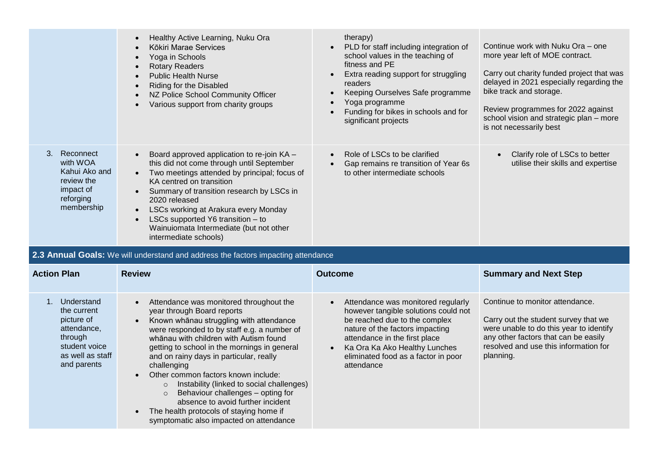|                                                                                                 | Healthy Active Learning, Nuku Ora<br>$\bullet$                                                                                                                                                                                                                                                                                | therapy)                                                                                                                                                                                                                                                                           |                                                                                                                                                                                                                                                                                                      |
|-------------------------------------------------------------------------------------------------|-------------------------------------------------------------------------------------------------------------------------------------------------------------------------------------------------------------------------------------------------------------------------------------------------------------------------------|------------------------------------------------------------------------------------------------------------------------------------------------------------------------------------------------------------------------------------------------------------------------------------|------------------------------------------------------------------------------------------------------------------------------------------------------------------------------------------------------------------------------------------------------------------------------------------------------|
|                                                                                                 | Kōkiri Marae Services<br>Yoga in Schools<br><b>Rotary Readers</b><br>$\bullet$<br><b>Public Health Nurse</b><br>Riding for the Disabled<br>NZ Police School Community Officer<br>Various support from charity groups                                                                                                          | PLD for staff including integration of<br>$\bullet$<br>school values in the teaching of<br>fitness and PE<br>Extra reading support for struggling<br>readers<br>Keeping Ourselves Safe programme<br>Yoga programme<br>Funding for bikes in schools and for<br>significant projects | Continue work with Nuku Ora – one<br>more year left of MOE contract.<br>Carry out charity funded project that was<br>delayed in 2021 especially regarding the<br>bike track and storage.<br>Review programmes for 2022 against<br>school vision and strategic plan - more<br>is not necessarily best |
| 3. Reconnect<br>with WOA<br>Kahui Ako and<br>review the<br>impact of<br>reforging<br>membership | Board approved application to re-join KA -<br>$\bullet$<br>this did not come through until September<br>Two meetings attended by principal; focus of<br>$\bullet$<br>KA centred on transition<br>Summary of transition research by LSCs in<br>$\bullet$<br>2020 released<br>LSCs working at Arakura every Monday<br>$\bullet$ | Role of LSCs to be clarified<br>Gap remains re transition of Year 6s<br>$\bullet$<br>to other intermediate schools                                                                                                                                                                 | Clarify role of LSCs to better<br>utilise their skills and expertise                                                                                                                                                                                                                                 |
|                                                                                                 | LSCs supported Y6 transition - to<br>Wainuiomata Intermediate (but not other<br>intermediate schools)                                                                                                                                                                                                                         |                                                                                                                                                                                                                                                                                    |                                                                                                                                                                                                                                                                                                      |
|                                                                                                 | 2.3 Annual Goals: We will understand and address the factors impacting attendance                                                                                                                                                                                                                                             |                                                                                                                                                                                                                                                                                    |                                                                                                                                                                                                                                                                                                      |
| <b>Action Plan</b>                                                                              | <b>Review</b>                                                                                                                                                                                                                                                                                                                 | <b>Outcome</b>                                                                                                                                                                                                                                                                     | <b>Summary and Next Step</b>                                                                                                                                                                                                                                                                         |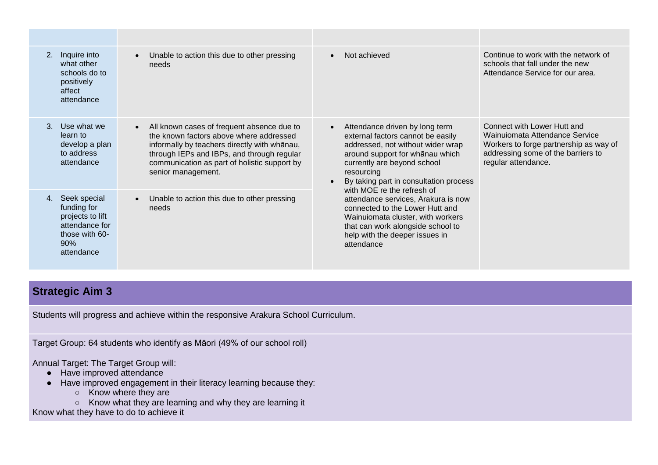| 2. Inquire into<br>what other<br>schools do to<br>positively<br>affect<br>attendance                           | Unable to action this due to other pressing<br>needs                                                                                                                                                                                                                   | Not achieved<br>$\bullet$                                                                                                                                                                                                                                                     | Continue to work with the network of<br>schools that fall under the new<br>Attendance Service for our area.                                                          |
|----------------------------------------------------------------------------------------------------------------|------------------------------------------------------------------------------------------------------------------------------------------------------------------------------------------------------------------------------------------------------------------------|-------------------------------------------------------------------------------------------------------------------------------------------------------------------------------------------------------------------------------------------------------------------------------|----------------------------------------------------------------------------------------------------------------------------------------------------------------------|
| $3_{-}$<br>Use what we<br>learn to<br>develop a plan<br>to address<br>attendance                               | All known cases of frequent absence due to<br>$\bullet$<br>the known factors above where addressed<br>informally by teachers directly with whānau,<br>through IEPs and IBPs, and through regular<br>communication as part of holistic support by<br>senior management. | Attendance driven by long term<br>$\bullet$<br>external factors cannot be easily<br>addressed, not without wider wrap<br>around support for whanau which<br>currently are beyond school<br>resourcing<br>By taking part in consultation process<br>with MOE re the refresh of | Connect with Lower Hutt and<br>Wainuiomata Attendance Service<br>Workers to forge partnership as way of<br>addressing some of the barriers to<br>regular attendance. |
| Seek special<br>4.<br>funding for<br>projects to lift<br>attendance for<br>those with 60-<br>90%<br>attendance | Unable to action this due to other pressing<br>needs                                                                                                                                                                                                                   | attendance services, Arakura is now<br>connected to the Lower Hutt and<br>Wainuiomata cluster, with workers<br>that can work alongside school to<br>help with the deeper issues in<br>attendance                                                                              |                                                                                                                                                                      |

# **Strategic Aim 3**

Students will progress and achieve within the responsive Arakura School Curriculum.

Target Group: 64 students who identify as Māori (49% of our school roll)

Annual Target: The Target Group will:

- Have improved attendance
- Have improved engagement in their literacy learning because they:
	- Know where they are
	- Know what they are learning and why they are learning it

Know what they have to do to achieve it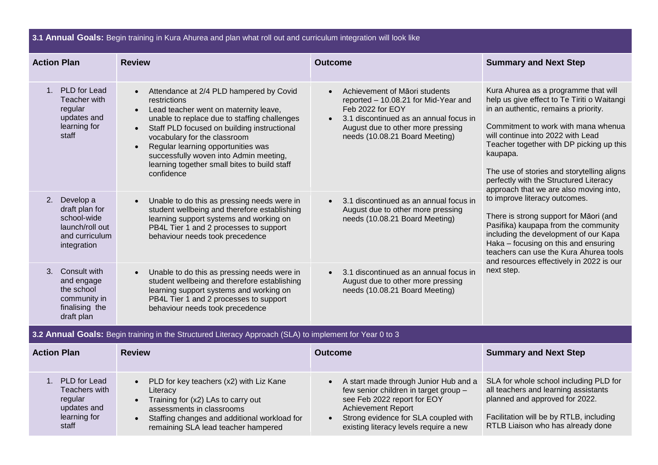| 3.1 Annual Goals: Begin training in Kura Ahurea and plan what roll out and curriculum integration will look like |                                                                                                   |                                                                                                                                                                                                                                                                                                                                                                                                         |                                                                                                                                                                                                                              |                                                                                                                                                                                                                                                                                                                                                                                                   |
|------------------------------------------------------------------------------------------------------------------|---------------------------------------------------------------------------------------------------|---------------------------------------------------------------------------------------------------------------------------------------------------------------------------------------------------------------------------------------------------------------------------------------------------------------------------------------------------------------------------------------------------------|------------------------------------------------------------------------------------------------------------------------------------------------------------------------------------------------------------------------------|---------------------------------------------------------------------------------------------------------------------------------------------------------------------------------------------------------------------------------------------------------------------------------------------------------------------------------------------------------------------------------------------------|
| <b>Action Plan</b>                                                                                               |                                                                                                   | <b>Review</b>                                                                                                                                                                                                                                                                                                                                                                                           | <b>Outcome</b>                                                                                                                                                                                                               | <b>Summary and Next Step</b>                                                                                                                                                                                                                                                                                                                                                                      |
|                                                                                                                  | 1. PLD for Lead<br>Teacher with<br>regular<br>updates and<br>learning for<br>staff                | Attendance at 2/4 PLD hampered by Covid<br>$\bullet$<br>restrictions<br>Lead teacher went on maternity leave,<br>unable to replace due to staffing challenges<br>Staff PLD focused on building instructional<br>vocabulary for the classroom<br>Regular learning opportunities was<br>$\bullet$<br>successfully woven into Admin meeting,<br>learning together small bites to build staff<br>confidence | Achievement of Māori students<br>$\bullet$<br>reported - 10.08.21 for Mid-Year and<br>Feb 2022 for EOY<br>3.1 discontinued as an annual focus in<br>August due to other more pressing<br>needs (10.08.21 Board Meeting)      | Kura Ahurea as a programme that will<br>help us give effect to Te Tiriti o Waitangi<br>in an authentic, remains a priority.<br>Commitment to work with mana whenua<br>will continue into 2022 with Lead<br>Teacher together with DP picking up this<br>kaupapa.<br>The use of stories and storytelling aligns<br>perfectly with the Structured Literacy<br>approach that we are also moving into, |
|                                                                                                                  | 2. Develop a<br>draft plan for<br>school-wide<br>launch/roll out<br>and curriculum<br>integration | Unable to do this as pressing needs were in<br>$\bullet$<br>student wellbeing and therefore establishing<br>learning support systems and working on<br>PB4L Tier 1 and 2 processes to support<br>behaviour needs took precedence                                                                                                                                                                        | 3.1 discontinued as an annual focus in<br>$\bullet$<br>August due to other more pressing<br>needs (10.08.21 Board Meeting)                                                                                                   | to improve literacy outcomes.<br>There is strong support for Māori (and<br>Pasifika) kaupapa from the community<br>including the development of our Kapa<br>Haka - focusing on this and ensuring<br>teachers can use the Kura Ahurea tools<br>and resources effectively in 2022 is our                                                                                                            |
| 3.                                                                                                               | Consult with<br>and engage<br>the school<br>community in<br>finalising the<br>draft plan          | Unable to do this as pressing needs were in<br>student wellbeing and therefore establishing<br>learning support systems and working on<br>PB4L Tier 1 and 2 processes to support<br>behaviour needs took precedence                                                                                                                                                                                     | 3.1 discontinued as an annual focus in<br>$\bullet$<br>August due to other more pressing<br>needs (10.08.21 Board Meeting)                                                                                                   | next step.                                                                                                                                                                                                                                                                                                                                                                                        |
|                                                                                                                  |                                                                                                   | 3.2 Annual Goals: Begin training in the Structured Literacy Approach (SLA) to implement for Year 0 to 3                                                                                                                                                                                                                                                                                                 |                                                                                                                                                                                                                              |                                                                                                                                                                                                                                                                                                                                                                                                   |
| <b>Action Plan</b>                                                                                               |                                                                                                   | <b>Review</b>                                                                                                                                                                                                                                                                                                                                                                                           | <b>Outcome</b>                                                                                                                                                                                                               | <b>Summary and Next Step</b>                                                                                                                                                                                                                                                                                                                                                                      |
|                                                                                                                  | 1. PLD for Lead<br>Teachers with<br>regular<br>updates and<br>learning for<br>staff               | PLD for key teachers (x2) with Liz Kane<br>$\bullet$<br>Literacy<br>Training for (x2) LAs to carry out<br>$\bullet$<br>assessments in classrooms<br>Staffing changes and additional workload for<br>remaining SLA lead teacher hampered                                                                                                                                                                 | A start made through Junior Hub and a<br>few senior children in target group -<br>see Feb 2022 report for EOY<br><b>Achievement Report</b><br>Strong evidence for SLA coupled with<br>existing literacy levels require a new | SLA for whole school including PLD for<br>all teachers and learning assistants<br>planned and approved for 2022.<br>Facilitation will be by RTLB, including<br>RTLB Liaison who has already done                                                                                                                                                                                                  |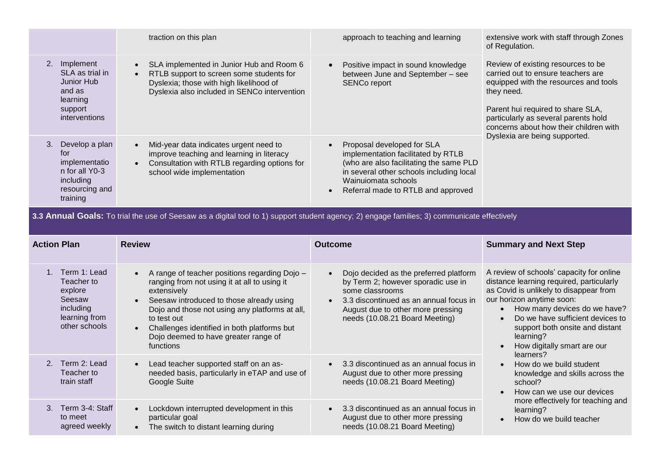|                                                                                                           | traction on this plan                                                                                                                                                                        | approach to teaching and learning                                                                                                                                                                                                              | extensive work with staff through Zones<br>of Regulation.                                                                                                                                                                                              |
|-----------------------------------------------------------------------------------------------------------|----------------------------------------------------------------------------------------------------------------------------------------------------------------------------------------------|------------------------------------------------------------------------------------------------------------------------------------------------------------------------------------------------------------------------------------------------|--------------------------------------------------------------------------------------------------------------------------------------------------------------------------------------------------------------------------------------------------------|
| 2.<br>Implement<br>SLA as trial in<br>Junior Hub<br>and as<br>learning<br>support<br>interventions        | SLA implemented in Junior Hub and Room 6<br>$\bullet$<br>RTLB support to screen some students for<br>Dyslexia; those with high likelihood of<br>Dyslexia also included in SENCo intervention | Positive impact in sound knowledge<br>$\bullet$<br>between June and September - see<br><b>SENCo report</b>                                                                                                                                     | Review of existing resources to be<br>carried out to ensure teachers are<br>equipped with the resources and tools<br>they need.<br>Parent hui required to share SLA,<br>particularly as several parents hold<br>concerns about how their children with |
| Develop a plan<br>3.<br>for<br>implementatio<br>n for all Y0-3<br>including<br>resourcing and<br>training | Mid-year data indicates urgent need to<br>$\bullet$<br>improve teaching and learning in literacy<br>Consultation with RTLB regarding options for<br>$\bullet$<br>school wide implementation  | Proposal developed for SLA<br>$\bullet$<br>implementation facilitated by RTLB<br>(who are also facilitating the same PLD<br>in several other schools including local<br>Wainuiomata schools<br>Referral made to RTLB and approved<br>$\bullet$ | Dyslexia are being supported.                                                                                                                                                                                                                          |

3.3 Annual Goals: To trial the use of Seesaw as a digital tool to 1) support student agency; 2) engage families; 3) communicate effectively

| <b>Action Plan</b>                                                                             | <b>Review</b>                                                                                                                                                                                                                                                                                                                 | <b>Outcome</b>                                                                                                                                                                                                   | <b>Summary and Next Step</b>                                                                                                                                                                                                                                                                                                                                                                                                                                                                                                 |
|------------------------------------------------------------------------------------------------|-------------------------------------------------------------------------------------------------------------------------------------------------------------------------------------------------------------------------------------------------------------------------------------------------------------------------------|------------------------------------------------------------------------------------------------------------------------------------------------------------------------------------------------------------------|------------------------------------------------------------------------------------------------------------------------------------------------------------------------------------------------------------------------------------------------------------------------------------------------------------------------------------------------------------------------------------------------------------------------------------------------------------------------------------------------------------------------------|
| Term 1: Lead<br>Teacher to<br>explore<br>Seesaw<br>including<br>learning from<br>other schools | A range of teacher positions regarding Dojo -<br>ranging from not using it at all to using it<br>extensively<br>Seesaw introduced to those already using<br>Dojo and those not using any platforms at all,<br>to test out<br>Challenges identified in both platforms but<br>Dojo deemed to have greater range of<br>functions | Dojo decided as the preferred platform<br>by Term 2; however sporadic use in<br>some classrooms<br>3.3 discontinued as an annual focus in<br>August due to other more pressing<br>needs (10.08.21 Board Meeting) | A review of schools' capacity for online<br>distance learning required, particularly<br>as Covid is unlikely to disappear from<br>our horizon anytime soon:<br>How many devices do we have?<br>Do we have sufficient devices to<br>support both onsite and distant<br>learning?<br>How digitally smart are our<br>learners?<br>How do we build student<br>$\bullet$<br>knowledge and skills across the<br>school?<br>How can we use our devices<br>more effectively for teaching and<br>learning?<br>How do we build teacher |
| Term 2: Lead<br>$\mathcal{P}$<br>Teacher to<br>train staff                                     | Lead teacher supported staff on an as-<br>needed basis, particularly in eTAP and use of<br>Google Suite                                                                                                                                                                                                                       | 3.3 discontinued as an annual focus in<br>August due to other more pressing<br>needs (10.08.21 Board Meeting)                                                                                                    |                                                                                                                                                                                                                                                                                                                                                                                                                                                                                                                              |
| Term 3-4: Staff<br>$\mathcal{S}$<br>to meet<br>agreed weekly                                   | Lockdown interrupted development in this<br>particular goal<br>The switch to distant learning during<br>$\bullet$                                                                                                                                                                                                             | 3.3 discontinued as an annual focus in<br>$\bullet$<br>August due to other more pressing<br>needs (10.08.21 Board Meeting)                                                                                       |                                                                                                                                                                                                                                                                                                                                                                                                                                                                                                                              |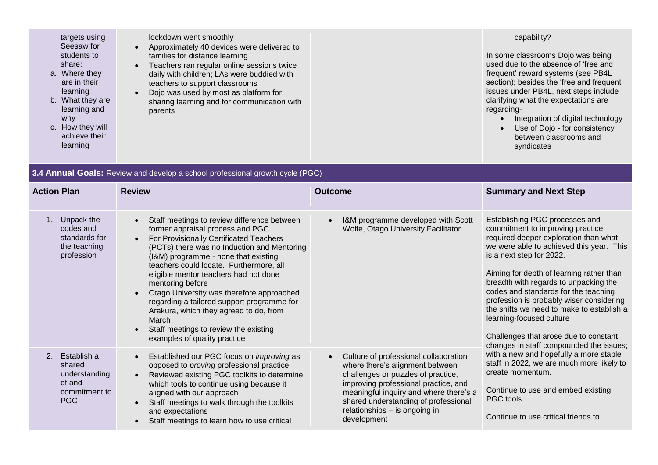| targets using<br>Seesaw for<br>students to<br>share:<br>a. Where they<br>are in their<br>learning<br>b. What they are<br>learning and<br>why<br>c. How they will<br>achieve their<br>learning | lockdown went smoothly<br>Approximately 40 devices were delivered to<br>families for distance learning<br>Teachers ran regular online sessions twice<br>$\bullet$<br>daily with children; LAs were buddied with<br>teachers to support classrooms<br>Dojo was used by most as platform for<br>sharing learning and for communication with<br>parents |  | capability?<br>In some classrooms Dojo was being<br>used due to the absence of 'free and<br>frequent' reward systems (see PB4L<br>section); besides the 'free and frequent'<br>issues under PB4L, next steps include<br>clarifying what the expectations are<br>regarding-<br>Integration of digital technology<br>Use of Dojo - for consistency<br>between classrooms and<br>syndicates |
|-----------------------------------------------------------------------------------------------------------------------------------------------------------------------------------------------|------------------------------------------------------------------------------------------------------------------------------------------------------------------------------------------------------------------------------------------------------------------------------------------------------------------------------------------------------|--|------------------------------------------------------------------------------------------------------------------------------------------------------------------------------------------------------------------------------------------------------------------------------------------------------------------------------------------------------------------------------------------|
|-----------------------------------------------------------------------------------------------------------------------------------------------------------------------------------------------|------------------------------------------------------------------------------------------------------------------------------------------------------------------------------------------------------------------------------------------------------------------------------------------------------------------------------------------------------|--|------------------------------------------------------------------------------------------------------------------------------------------------------------------------------------------------------------------------------------------------------------------------------------------------------------------------------------------------------------------------------------------|

| 3.4 Annual Goals: Review and develop a school professional growth cycle (PGC)         |                                                                                                                                                                                                                                                                                                                                                                                                                                                                                                                                                                                         |                                                                                                                                                                                                                                                                                                       |                                                                                                                                                                                                                                                                                                                                                                                                                                                                                                                           |  |  |
|---------------------------------------------------------------------------------------|-----------------------------------------------------------------------------------------------------------------------------------------------------------------------------------------------------------------------------------------------------------------------------------------------------------------------------------------------------------------------------------------------------------------------------------------------------------------------------------------------------------------------------------------------------------------------------------------|-------------------------------------------------------------------------------------------------------------------------------------------------------------------------------------------------------------------------------------------------------------------------------------------------------|---------------------------------------------------------------------------------------------------------------------------------------------------------------------------------------------------------------------------------------------------------------------------------------------------------------------------------------------------------------------------------------------------------------------------------------------------------------------------------------------------------------------------|--|--|
| <b>Action Plan</b>                                                                    | <b>Review</b>                                                                                                                                                                                                                                                                                                                                                                                                                                                                                                                                                                           | <b>Outcome</b>                                                                                                                                                                                                                                                                                        | <b>Summary and Next Step</b>                                                                                                                                                                                                                                                                                                                                                                                                                                                                                              |  |  |
| 1. Unpack the<br>codes and<br>standards for<br>the teaching<br>profession             | Staff meetings to review difference between<br>$\bullet$<br>former appraisal process and PGC<br>For Provisionally Certificated Teachers<br>$\bullet$<br>(PCTs) there was no Induction and Mentoring<br>(I&M) programme - none that existing<br>teachers could locate. Furthermore, all<br>eligible mentor teachers had not done<br>mentoring before<br>Otago University was therefore approached<br>$\bullet$<br>regarding a tailored support programme for<br>Arakura, which they agreed to do, from<br>March<br>Staff meetings to review the existing<br>examples of quality practice | I&M programme developed with Scott<br>$\bullet$<br>Wolfe, Otago University Facilitator                                                                                                                                                                                                                | Establishing PGC processes and<br>commitment to improving practice<br>required deeper exploration than what<br>we were able to achieved this year. This<br>is a next step for 2022.<br>Aiming for depth of learning rather than<br>breadth with regards to unpacking the<br>codes and standards for the teaching<br>profession is probably wiser considering<br>the shifts we need to make to establish a<br>learning-focused culture<br>Challenges that arose due to constant<br>changes in staff compounded the issues; |  |  |
| Establish a<br>2.<br>shared<br>understanding<br>of and<br>commitment to<br><b>PGC</b> | Established our PGC focus on improving as<br>$\bullet$<br>opposed to <i>proving</i> professional practice<br>Reviewed existing PGC toolkits to determine<br>$\bullet$<br>which tools to continue using because it<br>aligned with our approach<br>Staff meetings to walk through the toolkits<br>$\bullet$<br>and expectations<br>Staff meetings to learn how to use critical<br>$\bullet$                                                                                                                                                                                              | Culture of professional collaboration<br>$\bullet$<br>where there's alignment between<br>challenges or puzzles of practice,<br>improving professional practice, and<br>meaningful inquiry and where there's a<br>shared understanding of professional<br>relationships - is ongoing in<br>development | with a new and hopefully a more stable<br>staff in 2022, we are much more likely to<br>create momentum.<br>Continue to use and embed existing<br>PGC tools.<br>Continue to use critical friends to                                                                                                                                                                                                                                                                                                                        |  |  |